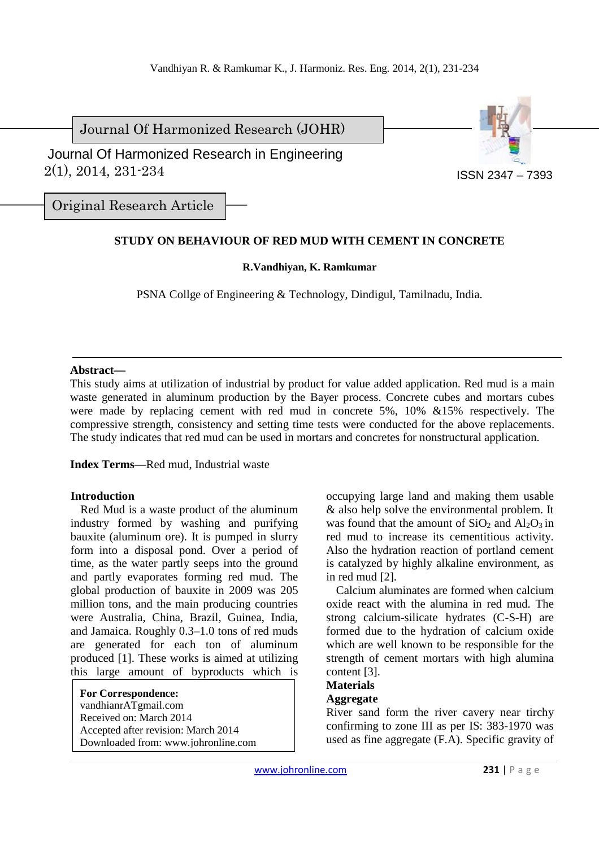Journal Of Harmonized Research (JOHR)



 2(1), 2014, 231-234 Journal Of Harmonized Research in Engineering

Original Research Article

# **STUDY ON BEHAVIOUR OF RED MUD WITH CEMENT IN CONCRETE**

## **R.Vandhiyan, K. Ramkumar**

PSNA Collge of Engineering & Technology, Dindigul, Tamilnadu, India.

### **Abstract—**

This study aims at utilization of industrial by product for value added application. Red mud is a main waste generated in aluminum production by the Bayer process. Concrete cubes and mortars cubes were made by replacing cement with red mud in concrete 5%, 10% &15% respectively. The compressive strength, consistency and setting time tests were conducted for the above replacements. The study indicates that red mud can be used in mortars and concretes for nonstructural application.

**Index Terms**—Red mud, Industrial waste

## **Introduction**

Red Mud is a waste product of the aluminum industry formed by washing and purifying bauxite (aluminum ore). It is pumped in slurry form into a disposal pond. Over a period of time, as the water partly seeps into the ground and partly evaporates forming red mud. The global production of bauxite in 2009 was 205 million tons, and the main producing countries were Australia, China, Brazil, Guinea, India, and Jamaica. Roughly 0.3–1.0 tons of red muds are generated for each ton of aluminum produced [1]. These works is aimed at utilizing this large amount of byproducts which is

**For Correspondence:**  vandhianrATgmail.com Received on: March 2014 Accepted after revision: March 2014 Downloaded from: www.johronline.com occupying large land and making them usable & also help solve the environmental problem. It was found that the amount of  $SiO<sub>2</sub>$  and  $Al<sub>2</sub>O<sub>3</sub>$  in red mud to increase its cementitious activity. Also the hydration reaction of portland cement is catalyzed by highly alkaline environment, as in red mud [2].

Calcium aluminates are formed when calcium oxide react with the alumina in red mud. The strong calcium-silicate hydrates (C-S-H) are formed due to the hydration of calcium oxide which are well known to be responsible for the strength of cement mortars with high alumina content [3].

# **Materials**

## **Aggregate**

River sand form the river cavery near tirchy confirming to zone III as per IS: 383-1970 was used as fine aggregate (F.A). Specific gravity of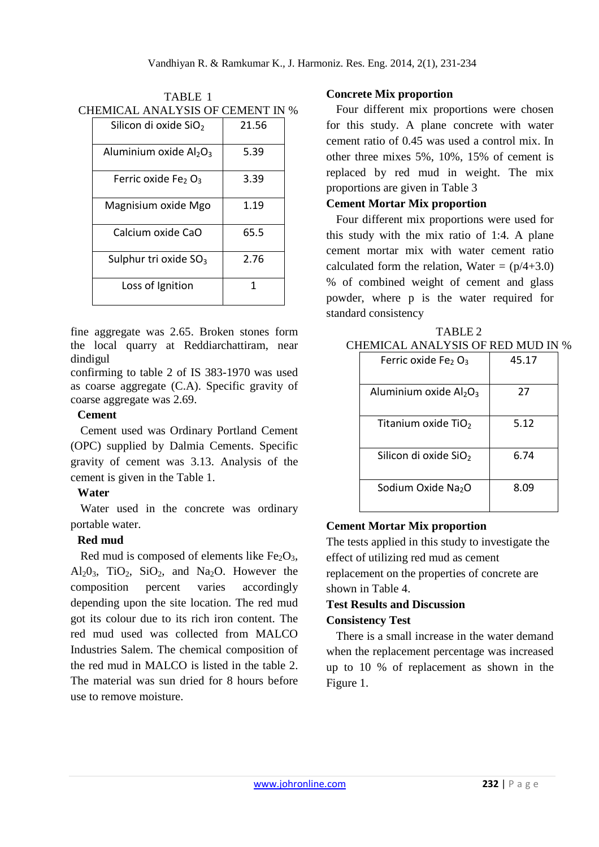| CHEMICAL ANALYSIS OF CEMENT IN % |                                    |       |  |  |
|----------------------------------|------------------------------------|-------|--|--|
|                                  | Silicon di oxide SiO <sub>2</sub>  | 21.56 |  |  |
|                                  | Aluminium oxide $Al_2O_3$          | 5.39  |  |  |
|                                  | Ferric oxide Fe <sub>2</sub> $O_3$ | 3.39  |  |  |
|                                  | Magnisium oxide Mgo                | 1.19  |  |  |
|                                  | Calcium oxide CaO                  | 65.5  |  |  |
|                                  | Sulphur tri oxide $SO_3$           | 2.76  |  |  |
|                                  | Loss of Ignition                   | 1     |  |  |

TABLE 1

fine aggregate was 2.65. Broken stones form the local quarry at Reddiarchattiram, near dindigul

confirming to table 2 of IS 383-1970 was used as coarse aggregate (C.A). Specific gravity of coarse aggregate was 2.69.

## **Cement**

Cement used was Ordinary Portland Cement (OPC) supplied by Dalmia Cements. Specific gravity of cement was 3.13. Analysis of the cement is given in the Table 1.

# **Water**

Water used in the concrete was ordinary portable water.

# **Red mud**

Red mud is composed of elements like  $Fe<sub>2</sub>O<sub>3</sub>$ , Al<sub>2</sub>O<sub>3</sub>, TiO<sub>2</sub>, SiO<sub>2</sub>, and Na<sub>2</sub>O. However the composition percent varies accordingly depending upon the site location. The red mud got its colour due to its rich iron content. The red mud used was collected from MALCO Industries Salem. The chemical composition of the red mud in MALCO is listed in the table 2. The material was sun dried for 8 hours before use to remove moisture.

# **Concrete Mix proportion**

Four different mix proportions were chosen for this study. A plane concrete with water cement ratio of 0.45 was used a control mix. In other three mixes 5%, 10%, 15% of cement is replaced by red mud in weight. The mix proportions are given in Table 3

## **Cement Mortar Mix proportion**

Four different mix proportions were used for this study with the mix ratio of 1:4. A plane cement mortar mix with water cement ratio calculated form the relation, Water =  $(p/4+3.0)$ % of combined weight of cement and glass powder, where p is the water required for standard consistency

| CHEMICAL ANALYSIS OF RED MUD IN % |                                    |       |  |  |
|-----------------------------------|------------------------------------|-------|--|--|
|                                   | Ferric oxide Fe <sub>2</sub> $O_3$ | 45.17 |  |  |
|                                   |                                    |       |  |  |
|                                   | Aluminium oxide $Al_2O_3$          | 27    |  |  |
|                                   |                                    |       |  |  |
|                                   | Titanium oxide TiO <sub>2</sub>    | 5.12  |  |  |
|                                   |                                    |       |  |  |
|                                   | Silicon di oxide SiO <sub>2</sub>  | 6.74  |  |  |
|                                   |                                    |       |  |  |
|                                   | Sodium Oxide Na <sub>2</sub> O     | 8.09  |  |  |
|                                   |                                    |       |  |  |

# TABLE 2

# **Cement Mortar Mix proportion**

The tests applied in this study to investigate the effect of utilizing red mud as cement replacement on the properties of concrete are shown in Table 4.

## **Test Results and Discussion Consistency Test**

There is a small increase in the water demand when the replacement percentage was increased up to 10 % of replacement as shown in the Figure 1.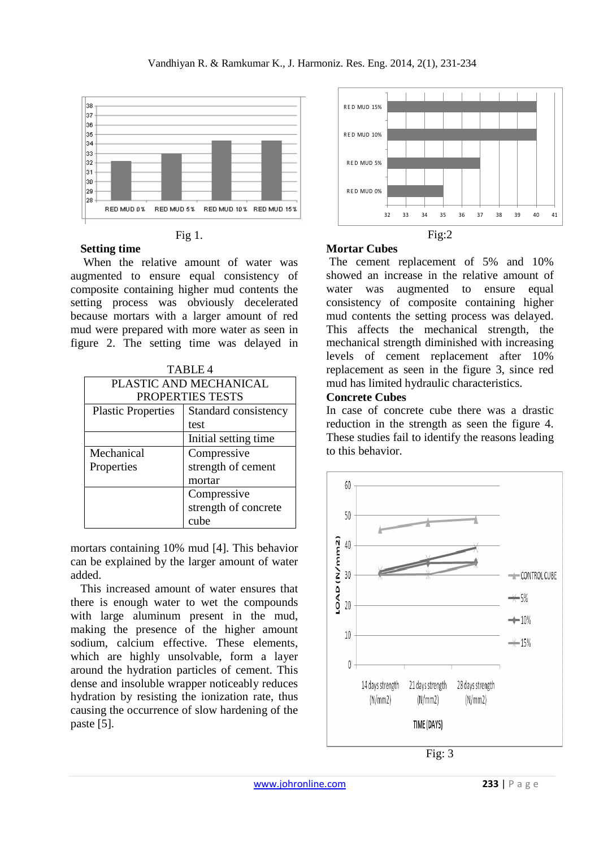

### Fig 1.

## **Setting time**

 When the relative amount of water was augmented to ensure equal consistency of composite containing higher mud contents the setting process was obviously decelerated because mortars with a larger amount of red mud were prepared with more water as seen in figure 2. The setting time was delayed in

| TABLE4                    |                       |  |  |
|---------------------------|-----------------------|--|--|
| PLASTIC AND MECHANICAL    |                       |  |  |
| <b>PROPERTIES TESTS</b>   |                       |  |  |
| <b>Plastic Properties</b> | Standard consistency  |  |  |
|                           | test                  |  |  |
|                           | Initial setting time. |  |  |
| Mechanical                | Compressive           |  |  |
| Properties                | strength of cement    |  |  |
|                           | mortar                |  |  |
|                           | Compressive           |  |  |
|                           | strength of concrete  |  |  |
|                           | cube                  |  |  |

mortars containing 10% mud [4]. This behavior can be explained by the larger amount of water added.

This increased amount of water ensures that there is enough water to wet the compounds with large aluminum present in the mud, making the presence of the higher amount sodium, calcium effective. These elements, which are highly unsolvable, form a layer around the hydration particles of cement. This dense and insoluble wrapper noticeably reduces hydration by resisting the ionization rate, thus causing the occurrence of slow hardening of the paste [5].



# **Mortar Cubes**

 The cement replacement of 5% and 10% showed an increase in the relative amount of water was augmented to ensure equal consistency of composite containing higher mud contents the setting process was delayed. This affects the mechanical strength, the mechanical strength diminished with increasing levels of cement replacement after 10% replacement as seen in the figure 3, since red mud has limited hydraulic characteristics.

## **Concrete Cubes**

In case of concrete cube there was a drastic reduction in the strength as seen the figure 4. These studies fail to identify the reasons leading to this behavior.



Fig: 3